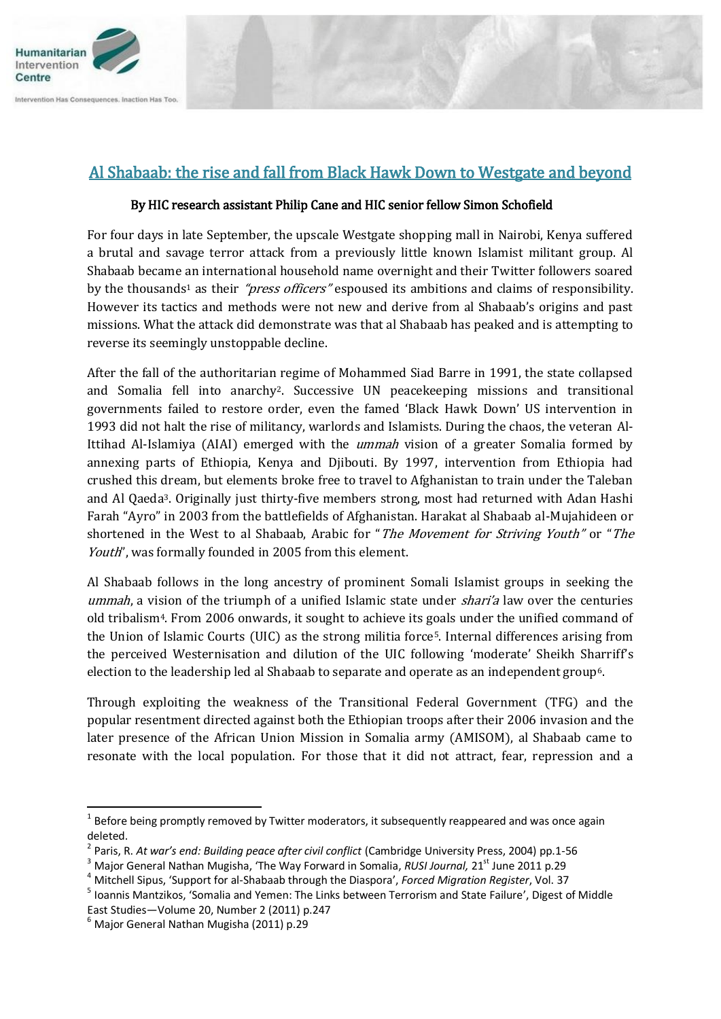

## Al Shabaab: the rise and fall from Black Hawk Down to Westgate and beyond

## By HIC research assistant Philip Cane and HIC senior fellow Simon Schofield

For four days in late September, the upscale Westgate shopping mall in Nairobi, Kenya suffered a brutal and savage terror attack from a previously little known Islamist militant group. Al Shabaab became an international household name overnight and their Twitter followers soared by the thousands<sup>1</sup> as their *"press officers"* espoused its ambitions and claims of responsibility. However its tactics and methods were not new and derive from al Shabaab's origins and past missions. What the attack did demonstrate was that al Shabaab has peaked and is attempting to reverse its seemingly unstoppable decline.

After the fall of the authoritarian regime of Mohammed Siad Barre in 1991, the state collapsed and Somalia fell into anarchy2. Successive UN peacekeeping missions and transitional governments failed to restore order, even the famed 'Black Hawk Down' US intervention in 1993 did not halt the rise of militancy, warlords and Islamists. During the chaos, the veteran Al-Ittihad Al-Islamiya (AIAI) emerged with the *ummah* vision of a greater Somalia formed by annexing parts of Ethiopia, Kenya and Djibouti. By 1997, intervention from Ethiopia had crushed this dream, but elements broke free to travel to Afghanistan to train under the Taleban and Al Qaeda3. Originally just thirty-five members strong, most had returned with Adan Hashi Farah "Ayro" in 2003 from the battlefields of Afghanistan. Harakat al Shabaab al-Mujahideen or shortened in the West to al Shabaab, Arabic for "The Movement for Striving Youth" or "The Youth", was formally founded in 2005 from this element.

Al Shabaab follows in the long ancestry of prominent Somali Islamist groups in seeking the ummah, a vision of the triumph of a unified Islamic state under *shari'a* law over the centuries old tribalism4. From 2006 onwards, it sought to achieve its goals under the unified command of the Union of Islamic Courts (UIC) as the strong militia force5. Internal differences arising from the perceived Westernisation and dilution of the UIC following 'moderate' Sheikh Sharriff's election to the leadership led al Shabaab to separate and operate as an independent group<sup>6</sup>.

Through exploiting the weakness of the Transitional Federal Government (TFG) and the popular resentment directed against both the Ethiopian troops after their 2006 invasion and the later presence of the African Union Mission in Somalia army (AMISOM), al Shabaab came to resonate with the local population. For those that it did not attract, fear, repression and a

**.** 

 $<sup>1</sup>$  Before being promptly removed by Twitter moderators, it subsequently reappeared and was once again</sup> deleted.<br><sup>2</sup> Paris E

Paris, R. *At war's end: Building peace after civil conflict* (Cambridge University Press, 2004) pp.1-56

<sup>&</sup>lt;sup>3</sup> Major General Nathan Mugisha, 'The Way Forward in Somalia, *RUSI Journal*, 21<sup>st</sup> June 2011 p.29

<sup>4</sup> Mitchell Sipus, 'Support for al-Shabaab through the Diaspora', *Forced Migration Register*, Vol. 37

<sup>&</sup>lt;sup>5</sup> Ioannis Mantzikos, 'Somalia and Yemen: The Links between Terrorism and State Failure', Digest of Middle East Studies—Volume 20, Number 2 (2011) p.247

 $<sup>6</sup>$  Major General Nathan Mugisha (2011) p.29</sup>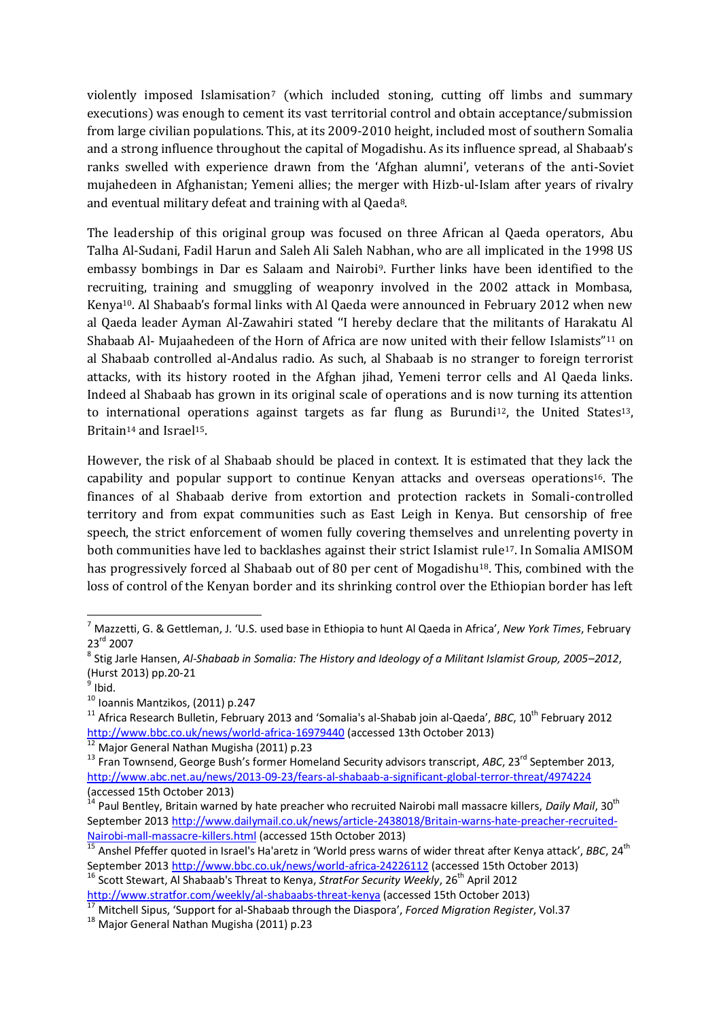violently imposed Islamisation<sup>7</sup> (which included stoning, cutting off limbs and summary executions) was enough to cement its vast territorial control and obtain acceptance/submission from large civilian populations. This, at its 2009-2010 height, included most of southern Somalia and a strong influence throughout the capital of Mogadishu. As its influence spread, al Shabaab's ranks swelled with experience drawn from the 'Afghan alumni', veterans of the anti-Soviet mujahedeen in Afghanistan; Yemeni allies; the merger with Hizb-ul-Islam after years of rivalry and eventual military defeat and training with al Qaeda8.

The leadership of this original group was focused on three African al Qaeda operators, Abu Talha Al-Sudani, Fadil Harun and Saleh Ali Saleh Nabhan, who are all implicated in the 1998 US embassy bombings in Dar es Salaam and Nairobi9. Further links have been identified to the recruiting, training and smuggling of weaponry involved in the 2002 attack in Mombasa, Kenya10. Al Shabaab's formal links with Al Qaeda were announced in February 2012 when new al Qaeda leader Ayman Al-Zawahiri stated ''I hereby declare that the militants of Harakatu Al Shabaab Al- Mujaahedeen of the Horn of Africa are now united with their fellow Islamists"<sup>11</sup> on al Shabaab controlled al-Andalus radio. As such, al Shabaab is no stranger to foreign terrorist attacks, with its history rooted in the Afghan jihad, Yemeni terror cells and Al Qaeda links. Indeed al Shabaab has grown in its original scale of operations and is now turning its attention to international operations against targets as far flung as Burundi<sup>12</sup>, the United States<sup>13</sup>, Britain<sup>14</sup> and Israel<sup>15</sup>.

However, the risk of al Shabaab should be placed in context. It is estimated that they lack the capability and popular support to continue Kenyan attacks and overseas operations16. The finances of al Shabaab derive from extortion and protection rackets in Somali-controlled territory and from expat communities such as East Leigh in Kenya. But censorship of free speech, the strict enforcement of women fully covering themselves and unrelenting poverty in both communities have led to backlashes against their strict Islamist rule17. In Somalia AMISOM has progressively forced al Shabaab out of 80 per cent of Mogadishu<sup>18</sup>. This, combined with the loss of control of the Kenyan border and its shrinking control over the Ethiopian border has left

-

<sup>16</sup> Scott Stewart. Al Shabaab's Threat to Kenya, *StratFor Security Weekly*, 26<sup>th</sup> April 2012 <http://www.stratfor.com/weekly/al-shabaabs-threat-kenya></u> (accessed 15th October 2013)

<sup>7</sup> Mazzetti, G. & Gettleman, J. 'U.S. used base in Ethiopia to hunt Al Qaeda in Africa', *New York Times*, February 23rd 2007

<sup>8</sup> Stig Jarle Hansen, *Al-Shabaab in Somalia: The History and Ideology of a Militant Islamist Group, 2005–2012*, (Hurst 2013) pp.20-21

<sup>&</sup>lt;sup>9</sup> Ibid.

<sup>10</sup> Ioannis Mantzikos, (2011) p.247

<sup>&</sup>lt;sup>11</sup> Africa Research Bulletin, February 2013 and 'Somalia's al-Shabab join al-Qaeda', *BBC*, 10<sup>th</sup> February 2012 <http://www.bbc.co.uk/news/world-africa-16979440> (accessed 13th October 2013)

<sup>&</sup>lt;sup>12</sup> Major General Nathan Mugisha (2011) p.23

<sup>&</sup>lt;sup>13</sup> Fran Townsend, George Bush's former Homeland Security advisors transcript, *ABC*, 23<sup>rd</sup> September 2013, <http://www.abc.net.au/news/2013-09-23/fears-al-shabaab-a-significant-global-terror-threat/4974224> (accessed 15th October 2013)

<sup>14</sup> Paul Bentley, Britain warned by hate preacher who recruited Nairobi mall massacre killers, *Daily Mail*, 30th September 201[3 http://www.dailymail.co.uk/news/article-2438018/Britain-warns-hate-preacher-recruited-](http://www.dailymail.co.uk/news/article-2438018/Britain-warns-hate-preacher-recruited-Nairobi-mall-massacre-killers.html)[Nairobi-mall-massacre-killers.html](http://www.dailymail.co.uk/news/article-2438018/Britain-warns-hate-preacher-recruited-Nairobi-mall-massacre-killers.html) (accessed 15th October 2013)

<sup>&</sup>lt;sup>15</sup> Anshel Pfeffer quoted in Israel's Ha'aretz in 'World press warns of wider threat after Kenya attack', BBC, 24<sup>th</sup> September 201[3 http://www.bbc.co.uk/news/world-africa-24226112](http://www.bbc.co.uk/news/world-africa-24226112) (accessed 15th October 2013)

<sup>17</sup> Mitchell Sipus, 'Support for al-Shabaab through the Diaspora', *Forced Migration Register*, Vol.37

<sup>&</sup>lt;sup>18</sup> Maior General Nathan Mugisha (2011) p.23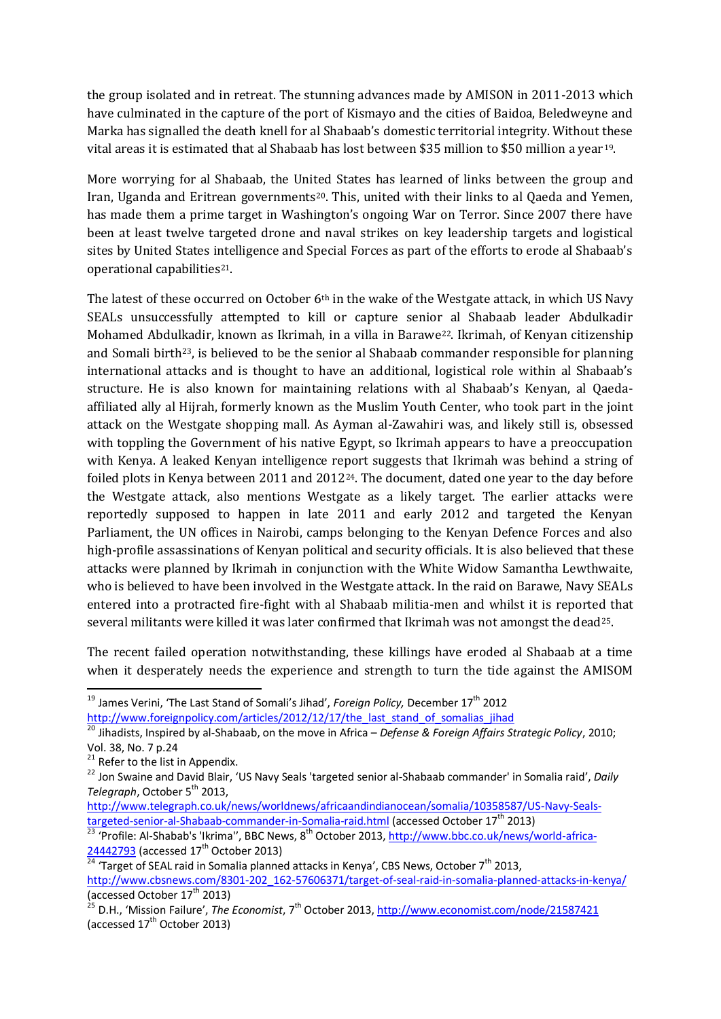the group isolated and in retreat. The stunning advances made by AMISON in 2011-2013 which have culminated in the capture of the port of Kismayo and the cities of Baidoa, Beledweyne and Marka has signalled the death knell for al Shabaab's domestic territorial integrity. Without these vital areas it is estimated that al Shabaab has lost between \$35 million to \$50 million a year19.

More worrying for al Shabaab, the United States has learned of links between the group and Iran, Uganda and Eritrean governments<sup>20</sup>. This, united with their links to al Qaeda and Yemen, has made them a prime target in Washington's ongoing War on Terror. Since 2007 there have been at least twelve targeted drone and naval strikes on key leadership targets and logistical sites by United States intelligence and Special Forces as part of the efforts to erode al Shabaab's operational capabilities<sup>21</sup>.

The latest of these occurred on October 6<sup>th</sup> in the wake of the Westgate attack, in which US Navy SEALs unsuccessfully attempted to kill or capture senior al Shabaab leader Abdulkadir Mohamed Abdulkadir, known as Ikrimah, in a villa in Barawe22. Ikrimah, of Kenyan citizenship and Somali birth<sup>23</sup>, is believed to be the senior al Shabaab commander responsible for planning international attacks and is thought to have an additional, logistical role within al Shabaab's structure. He is also known for maintaining relations with al Shabaab's Kenyan, al Qaedaaffiliated ally al Hijrah, formerly known as the Muslim Youth Center, who took part in the joint attack on the Westgate shopping mall. As Ayman al-Zawahiri was, and likely still is, obsessed with toppling the Government of his native Egypt, so Ikrimah appears to have a preoccupation with Kenya. A leaked Kenyan intelligence report suggests that Ikrimah was behind a string of foiled plots in Kenya between 2011 and 2012<sup>24</sup>. The document, dated one year to the day before the Westgate attack, also mentions Westgate as a likely target. The earlier attacks were reportedly supposed to happen in late 2011 and early 2012 and targeted the Kenyan Parliament, the UN offices in Nairobi, camps belonging to the Kenyan Defence Forces and also high-profile assassinations of Kenyan political and security officials. It is also believed that these attacks were planned by Ikrimah in conjunction with the White Widow Samantha Lewthwaite, who is believed to have been involved in the Westgate attack. In the raid on Barawe, Navy SEALs entered into a protracted fire-fight with al Shabaab militia-men and whilst it is reported that several militants were killed it was later confirmed that Ikrimah was not amongst the dead25.

The recent failed operation notwithstanding, these killings have eroded al Shabaab at a time when it desperately needs the experience and strength to turn the tide against the AMISOM

<sup>20</sup> Jihadists, Inspired by al-Shabaab, on the move in Africa – *Defense & Foreign Affairs Strategic Policy*, 2010; Vol. 38, No. 7 p.24

1

<sup>&</sup>lt;sup>19</sup> James Verini, 'The Last Stand of Somali's Jihad', *Foreign Policy,* December 17<sup>th</sup> 2012

http://www.foreignpolicy.com/articles/2012/12/17/the last stand of somalias iihad

 $21$  Refer to the list in Appendix.

<sup>22</sup> Jon Swaine and David Blair, 'US Navy Seals 'targeted senior al-Shabaab commander' in Somalia raid', *Daily Telegraph, October* 5<sup>th</sup> 2013,

[http://www.telegraph.co.uk/news/worldnews/africaandindianocean/somalia/10358587/US-Navy-Seals](http://www.telegraph.co.uk/news/worldnews/africaandindianocean/somalia/10358587/US-Navy-Seals-targeted-senior-al-Shabaab-commander-in-Somalia-raid.html)[targeted-senior-al-Shabaab-commander-in-Somalia-raid.html](http://www.telegraph.co.uk/news/worldnews/africaandindianocean/somalia/10358587/US-Navy-Seals-targeted-senior-al-Shabaab-commander-in-Somalia-raid.html) (accessed October 17<sup>th</sup> 2013)

<sup>23 &#</sup>x27;Profile: Al-Shabab's 'Ikrima'', BBC News, 8<sup>th</sup> October 2013[, http://www.bbc.co.uk/news/world-africa-](http://www.bbc.co.uk/news/world-africa-24442793)[24442793](http://www.bbc.co.uk/news/world-africa-24442793) (accessed 17<sup>th</sup> October 2013)

<sup>&</sup>lt;sup>24</sup> 'Target of SEAL raid in Somalia planned attacks in Kenya', CBS News, October 7<sup>th</sup> 2013, [http://www.cbsnews.com/8301-202\\_162-57606371/target-of-seal-raid-in-somalia-planned-attacks-in-kenya/](http://www.cbsnews.com/8301-202_162-57606371/target-of-seal-raid-in-somalia-planned-attacks-in-kenya/) (accessed October  $17^{\text{th}}$  2013)

<sup>&</sup>lt;sup>2</sup> D.H., 'Mission Failure', *The Economist*, 7<sup>th</sup> October 2013[, http://www.economist.com/node/21587421](http://www.economist.com/node/21587421) (accessed  $17<sup>th</sup>$  October 2013)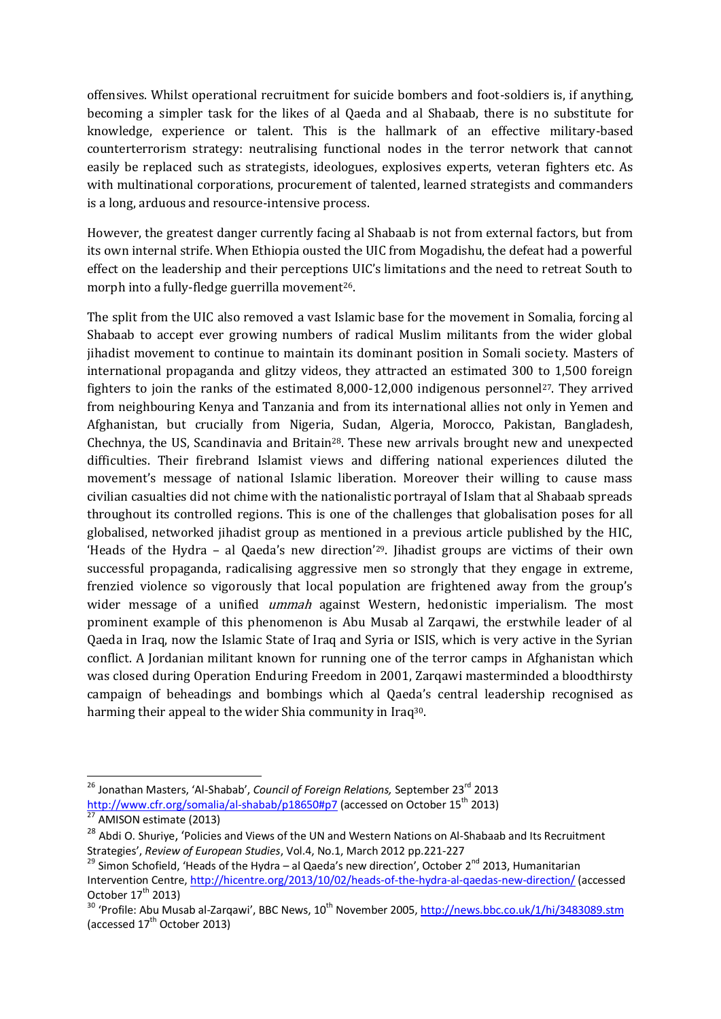offensives. Whilst operational recruitment for suicide bombers and foot-soldiers is, if anything, becoming a simpler task for the likes of al Qaeda and al Shabaab, there is no substitute for knowledge, experience or talent. This is the hallmark of an effective military-based counterterrorism strategy: neutralising functional nodes in the terror network that cannot easily be replaced such as strategists, ideologues, explosives experts, veteran fighters etc. As with multinational corporations, procurement of talented, learned strategists and commanders is a long, arduous and resource-intensive process.

However, the greatest danger currently facing al Shabaab is not from external factors, but from its own internal strife. When Ethiopia ousted the UIC from Mogadishu, the defeat had a powerful effect on the leadership and their perceptions UIC's limitations and the need to retreat South to morph into a fully-fledge guerrilla movement<sup>26</sup>.

The split from the UIC also removed a vast Islamic base for the movement in Somalia, forcing al Shabaab to accept ever growing numbers of radical Muslim militants from the wider global jihadist movement to continue to maintain its dominant position in Somali society. Masters of international propaganda and glitzy videos, they attracted an estimated 300 to 1,500 foreign fighters to join the ranks of the estimated  $8,000-12,000$  indigenous personnel<sup>27</sup>. They arrived from neighbouring Kenya and Tanzania and from its international allies not only in Yemen and Afghanistan, but crucially from Nigeria, Sudan, Algeria, Morocco, Pakistan, Bangladesh, Chechnya, the US, Scandinavia and Britain28. These new arrivals brought new and unexpected difficulties. Their firebrand Islamist views and differing national experiences diluted the movement's message of national Islamic liberation. Moreover their willing to cause mass civilian casualties did not chime with the nationalistic portrayal of Islam that al Shabaab spreads throughout its controlled regions. This is one of the challenges that globalisation poses for all globalised, networked jihadist group as mentioned in a previous article published by the HIC, 'Heads of the Hydra – al Qaeda's new direction'29. Jihadist groups are victims of their own successful propaganda, radicalising aggressive men so strongly that they engage in extreme, frenzied violence so vigorously that local population are frightened away from the group's wider message of a unified *ummah* against Western, hedonistic imperialism. The most prominent example of this phenomenon is Abu Musab al Zarqawi, the erstwhile leader of al Qaeda in Iraq, now the Islamic State of Iraq and Syria or ISIS, which is very active in the Syrian conflict. A Jordanian militant known for running one of the terror camps in Afghanistan which was closed during Operation Enduring Freedom in 2001, Zarqawi masterminded a bloodthirsty campaign of beheadings and bombings which al Qaeda's central leadership recognised as harming their appeal to the wider Shia community in Iraq<sup>30</sup>.

<sup>1</sup> <sup>26</sup> Jonathan Masters, 'Al-Shabab', *Council of Foreign Relations*, September 23<sup>rd</sup> 2013 <http://www.cfr.org/somalia/al-shabab/p18650#p7> (accessed on October 15<sup>th</sup> 2013)  $rac{1}{27}$  AMISON estimate (2013)

<sup>&</sup>lt;sup>28</sup> Abdi O. Shurive, 'Policies and Views of the UN and Western Nations on Al-Shabaab and Its Recruitment Strategies', *Review of European Studies*, Vol.4, No.1, March 2012 pp.221-227

<sup>&</sup>lt;sup>29</sup> Simon Schofield, 'Heads of the Hydra – al Qaeda's new direction', October 2<sup>nd</sup> 2013, Humanitarian Intervention Centre,<http://hicentre.org/2013/10/02/heads-of-the-hydra-al-qaedas-new-direction/> (accessed October  $17<sup>th</sup>$  2013)

 $30$  'Profile: Abu Musab al-Zargawi', BBC News,  $10^{\text{th}}$  November 2005[, http://news.bbc.co.uk/1/hi/3483089.stm](http://news.bbc.co.uk/1/hi/3483089.stm) (accessed  $17<sup>th</sup>$  October 2013)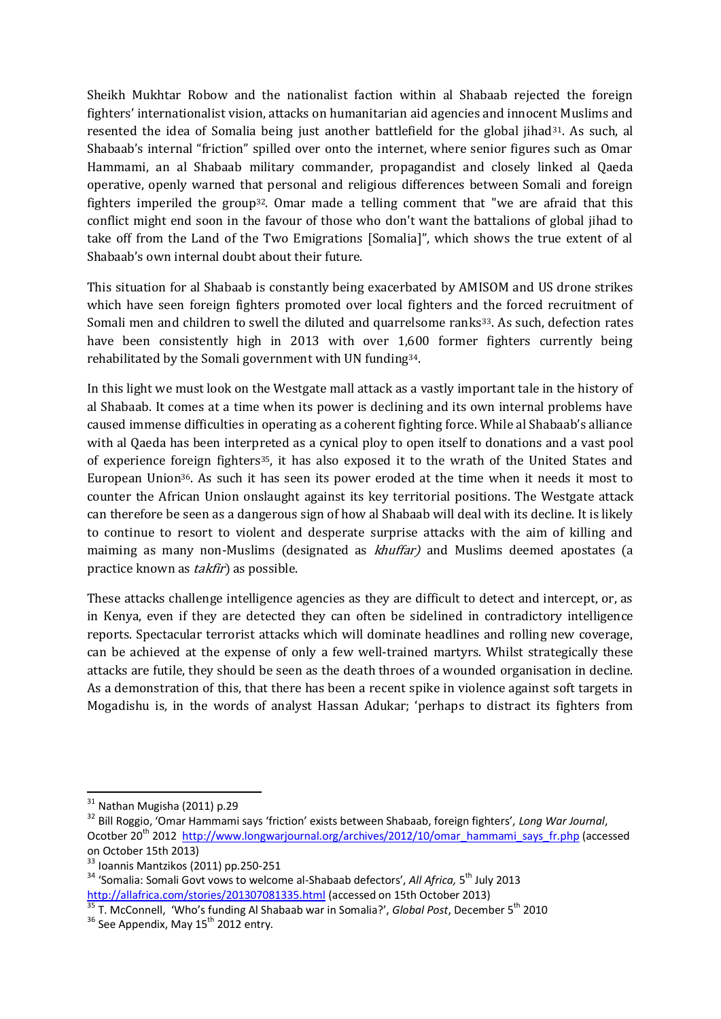Sheikh Mukhtar Robow and the nationalist faction within al Shabaab rejected the foreign fighters' internationalist vision, attacks on humanitarian aid agencies and innocent Muslims and resented the idea of Somalia being just another battlefield for the global jihad<sup>31</sup>. As such, al Shabaab's internal "friction" spilled over onto the internet, where senior figures such as Omar Hammami, an al Shabaab military commander, propagandist and closely linked al Qaeda operative, openly warned that personal and religious differences between Somali and foreign fighters imperiled the group32. Omar made a telling comment that "we are afraid that this conflict might end soon in the favour of those who don't want the battalions of global jihad to take off from the Land of the Two Emigrations [Somalia]", which shows the true extent of al Shabaab's own internal doubt about their future.

This situation for al Shabaab is constantly being exacerbated by AMISOM and US drone strikes which have seen foreign fighters promoted over local fighters and the forced recruitment of Somali men and children to swell the diluted and quarrelsome ranks<sup>33</sup>. As such, defection rates have been consistently high in 2013 with over 1,600 former fighters currently being rehabilitated by the Somali government with UN funding34.

In this light we must look on the Westgate mall attack as a vastly important tale in the history of al Shabaab. It comes at a time when its power is declining and its own internal problems have caused immense difficulties in operating as a coherent fighting force. While al Shabaab's alliance with al Qaeda has been interpreted as a cynical ploy to open itself to donations and a vast pool of experience foreign fighters35, it has also exposed it to the wrath of the United States and European Union36. As such it has seen its power eroded at the time when it needs it most to counter the African Union onslaught against its key territorial positions. The Westgate attack can therefore be seen as a dangerous sign of how al Shabaab will deal with its decline. It is likely to continue to resort to violent and desperate surprise attacks with the aim of killing and maiming as many non-Muslims (designated as *khuffar*) and Muslims deemed apostates (a practice known as takfir) as possible.

These attacks challenge intelligence agencies as they are difficult to detect and intercept, or, as in Kenya, even if they are detected they can often be sidelined in contradictory intelligence reports. Spectacular terrorist attacks which will dominate headlines and rolling new coverage, can be achieved at the expense of only a few well-trained martyrs. Whilst strategically these attacks are futile, they should be seen as the death throes of a wounded organisation in decline. As a demonstration of this, that there has been a recent spike in violence against soft targets in Mogadishu is, in the words of analyst Hassan Adukar; 'perhaps to distract its fighters from

1

 $31$  Nathan Mugisha (2011) p.29

<sup>32</sup> Bill Roggio, 'Omar Hammami says 'friction' exists between Shabaab, foreign fighters', *Long War Journal*, Ocotber 20<sup>th</sup> 2012 [http://www.longwarjournal.org/archives/2012/10/omar\\_hammami\\_says\\_fr.php](http://www.longwarjournal.org/archives/2012/10/omar_hammami_says_fr.php) (accessed on October 15th 2013)

 $33$  Ioannis Mantzikos (2011) pp. 250-251

<sup>&</sup>lt;sup>34</sup> 'Somalia: Somali Govt vows to welcome al-Shabaab defectors', All Africa, 5<sup>th</sup> July 2013 <http://allafrica.com/stories/201307081335.html> (accessed on 15th October 2013)

<sup>&</sup>lt;sup>35</sup> T. McConnell, 'Who's funding Al Shabaab war in Somalia?', Global Post, December 5<sup>th</sup> 2010

 $36$  See Appendix, May  $15^{th}$  2012 entry.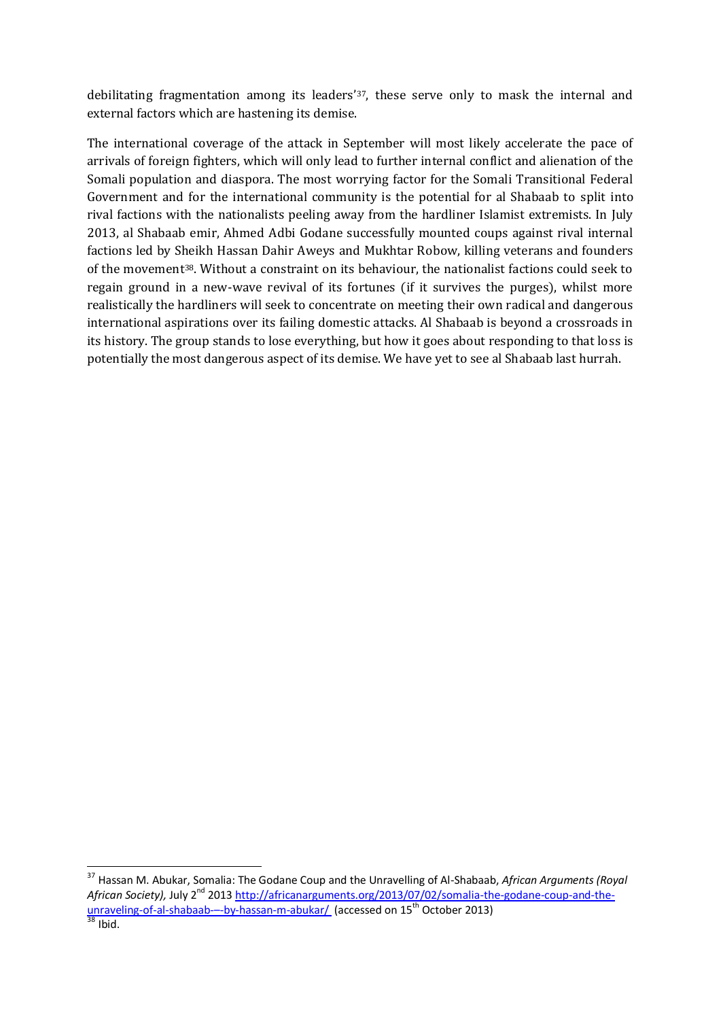debilitating fragmentation among its leaders'37, these serve only to mask the internal and external factors which are hastening its demise.

The international coverage of the attack in September will most likely accelerate the pace of arrivals of foreign fighters, which will only lead to further internal conflict and alienation of the Somali population and diaspora. The most worrying factor for the Somali Transitional Federal Government and for the international community is the potential for al Shabaab to split into rival factions with the nationalists peeling away from the hardliner Islamist extremists. In July 2013, al Shabaab emir, Ahmed Adbi Godane successfully mounted coups against rival internal factions led by Sheikh Hassan Dahir Aweys and Mukhtar Robow, killing veterans and founders of the movement38. Without a constraint on its behaviour, the nationalist factions could seek to regain ground in a new-wave revival of its fortunes (if it survives the purges), whilst more realistically the hardliners will seek to concentrate on meeting their own radical and dangerous international aspirations over its failing domestic attacks. Al Shabaab is beyond a crossroads in its history. The group stands to lose everything, but how it goes about responding to that loss is potentially the most dangerous aspect of its demise. We have yet to see al Shabaab last hurrah.

-

<sup>37</sup> Hassan M. Abukar, Somalia: The Godane Coup and the Unravelling of Al-Shabaab, *African Arguments (Royal*  African Society), July 2<sup>nd</sup> 2013 [http://africanarguments.org/2013/07/02/somalia-the-godane-coup-and-the](http://africanarguments.org/2013/07/02/somalia-the-godane-coup-and-the-unraveling-of-al-shabaab-–-by-hassan-m-abukar/)[unraveling-of-al-shabaab-](http://africanarguments.org/2013/07/02/somalia-the-godane-coup-and-the-unraveling-of-al-shabaab-–-by-hassan-m-abukar/)--by-hassan-m-abukar/ (accessed on 15<sup>th</sup> October 2013)  $38$  Ibid.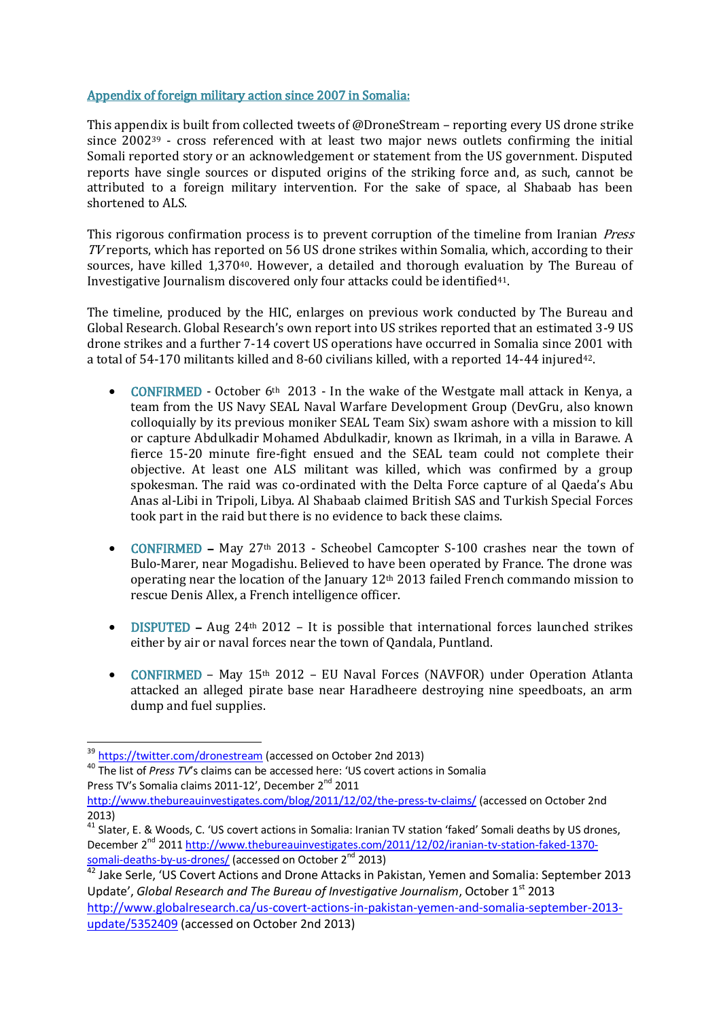## Appendix of foreign military action since 2007 in Somalia:

This appendix is built from collected tweets of @DroneStream – reporting every US drone strike since 2002<sup>39</sup> - cross referenced with at least two major news outlets confirming the initial Somali reported story or an acknowledgement or statement from the US government. Disputed reports have single sources or disputed origins of the striking force and, as such, cannot be attributed to a foreign military intervention. For the sake of space, al Shabaab has been shortened to ALS.

This rigorous confirmation process is to prevent corruption of the timeline from Iranian *Press* TV reports, which has reported on 56 US drone strikes within Somalia, which, according to their sources, have killed 1,370<sup>40</sup>. However, a detailed and thorough evaluation by The Bureau of Investigative Journalism discovered only four attacks could be identified41.

The timeline, produced by the HIC, enlarges on previous work conducted by The Bureau and Global Research. Global Research's own report into US strikes reported that an estimated 3-9 US drone strikes and a further 7-14 covert US operations have occurred in Somalia since 2001 with a total of 54-170 militants killed and 8-60 civilians killed, with a reported 14-44 injured42.

- CONFIRMED October 6<sup>th</sup> 2013 In the wake of the Westgate mall attack in Kenya, a team from the US Navy SEAL Naval Warfare Development Group (DevGru, also known colloquially by its previous moniker SEAL Team Six) swam ashore with a mission to kill or capture Abdulkadir Mohamed Abdulkadir, known as Ikrimah, in a villa in Barawe. A fierce 15-20 minute fire-fight ensued and the SEAL team could not complete their objective. At least one ALS militant was killed, which was confirmed by a group spokesman. The raid was co-ordinated with the Delta Force capture of al Qaeda's Abu Anas al-Libi in Tripoli, Libya. Al Shabaab claimed British SAS and Turkish Special Forces took part in the raid but there is no evidence to back these claims.
- CONFIRMED May 27<sup>th</sup> 2013 Scheobel Camcopter S-100 crashes near the town of Bulo-Marer, near Mogadishu. Believed to have been operated by France. The drone was operating near the location of the January 12th 2013 failed French commando mission to rescue Denis Allex, a French intelligence officer.
- DISPUTED Aug 24<sup>th</sup> 2012 It is possible that international forces launched strikes either by air or naval forces near the town of Qandala, Puntland.
- CONFIRMED May 15<sup>th</sup> 2012 EU Naval Forces (NAVFOR) under Operation Atlanta attacked an alleged pirate base near Haradheere destroying nine speedboats, an arm dump and fuel supplies.

-

<sup>&</sup>lt;sup>39</sup> <https://twitter.com/dronestream> (accessed on October 2nd 2013)

<sup>40</sup> The list of *Press TV*'s claims can be accessed here: 'US covert actions in Somalia Press TV's Somalia claims 2011-12', December 2<sup>nd</sup> 2011

<http://www.thebureauinvestigates.com/blog/2011/12/02/the-press-tv-claims/> (accessed on October 2nd 2013)

<sup>&</sup>lt;sup>41</sup> Slater, E. & Woods, C. 'US covert actions in Somalia: Iranian TV station 'faked' Somali deaths by US drones, December 2<sup>nd</sup> 201[1 http://www.thebureauinvestigates.com/2011/12/02/iranian-tv-station-faked-1370](http://www.thebureauinvestigates.com/2011/12/02/iranian-tv-station-faked-1370-somali-deaths-by-us-drones/) [somali-deaths-by-us-drones/](http://www.thebureauinvestigates.com/2011/12/02/iranian-tv-station-faked-1370-somali-deaths-by-us-drones/) (accessed on October 2<sup>nd</sup> 2013)

 $42$  Jake Serle, 'US Covert Actions and Drone Attacks in Pakistan, Yemen and Somalia: September 2013 Update', *Global Research and The Bureau of Investigative Journalism*, October 1st 2013 [http://www.globalresearch.ca/us-covert-actions-in-pakistan-yemen-and-somalia-september-2013](http://www.globalresearch.ca/us-covert-actions-in-pakistan-yemen-and-somalia-september-2013-update/5352409) [update/5352409](http://www.globalresearch.ca/us-covert-actions-in-pakistan-yemen-and-somalia-september-2013-update/5352409) (accessed on October 2nd 2013)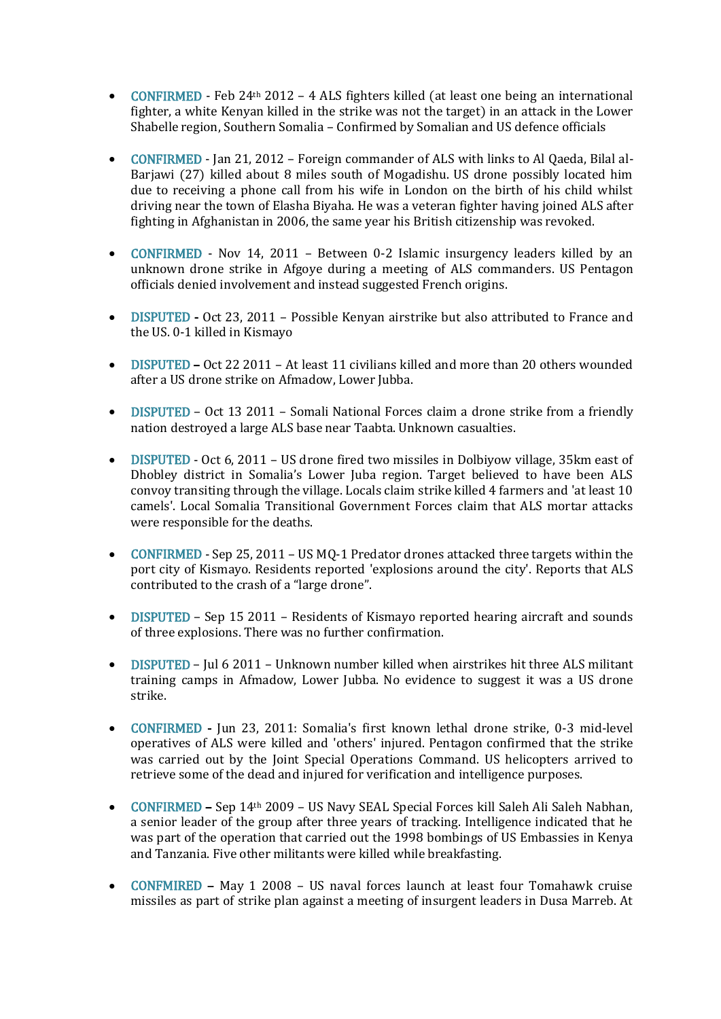- CONFIRMED Feb 24<sup>th</sup> 2012 4 ALS fighters killed (at least one being an international fighter, a white Kenyan killed in the strike was not the target) in an attack in the Lower Shabelle region, Southern Somalia – Confirmed by Somalian and US defence officials
- CONFIRMED Jan 21, 2012 Foreign commander of ALS with links to Al Qaeda, Bilal al-Barjawi (27) killed about 8 miles south of Mogadishu. US drone possibly located him due to receiving a phone call from his wife in London on the birth of his child whilst driving near the town of Elasha Biyaha. He was a veteran fighter having joined ALS after fighting in Afghanistan in 2006, the same year his British citizenship was revoked.
- CONFIRMED Nov 14, 2011 Between 0-2 Islamic insurgency leaders killed by an unknown drone strike in Afgoye during a meeting of ALS commanders. US Pentagon officials denied involvement and instead suggested French origins.
- DISPUTED Oct 23, 2011 Possible Kenyan airstrike but also attributed to France and the US. 0-1 killed in Kismayo
- DISPUTED Oct 22 2011 At least 11 civilians killed and more than 20 others wounded after a US drone strike on Afmadow, Lower Jubba.
- DISPUTED Oct 13 2011 Somali National Forces claim a drone strike from a friendly nation destroyed a large ALS base near Taabta. Unknown casualties.
- DISPUTED Oct 6, 2011 US drone fired two missiles in Dolbiyow village, 35km east of Dhobley district in Somalia's Lower Juba region. Target believed to have been ALS convoy transiting through the village. Locals claim strike killed 4 farmers and 'at least 10 camels'. Local Somalia Transitional Government Forces claim that ALS mortar attacks were responsible for the deaths.
- CONFIRMED Sep 25, 2011 US MQ-1 Predator drones attacked three targets within the port city of Kismayo. Residents reported 'explosions around the city'. Reports that ALS contributed to the crash of a "large drone".
- DISPUTED Sep 15 2011 Residents of Kismayo reported hearing aircraft and sounds of three explosions. There was no further confirmation.
- DISPUTED Jul 6 2011 Unknown number killed when airstrikes hit three ALS militant training camps in Afmadow, Lower Jubba. No evidence to suggest it was a US drone strike.
- CONFIRMED Jun 23, 2011: Somalia's first known lethal drone strike, 0-3 mid-level operatives of ALS were killed and 'others' injured. Pentagon confirmed that the strike was carried out by the Joint Special Operations Command. US helicopters arrived to retrieve some of the dead and injured for verification and intelligence purposes.
- CONFIRMED Sep 14th 2009 US Navy SEAL Special Forces kill Saleh Ali Saleh Nabhan, a senior leader of the group after three years of tracking. Intelligence indicated that he was part of the operation that carried out the 1998 bombings of US Embassies in Kenya and Tanzania. Five other militants were killed while breakfasting.
- CONFMIRED May 1 2008 US naval forces launch at least four Tomahawk cruise missiles as part of strike plan against a meeting of insurgent leaders in Dusa Marreb. At